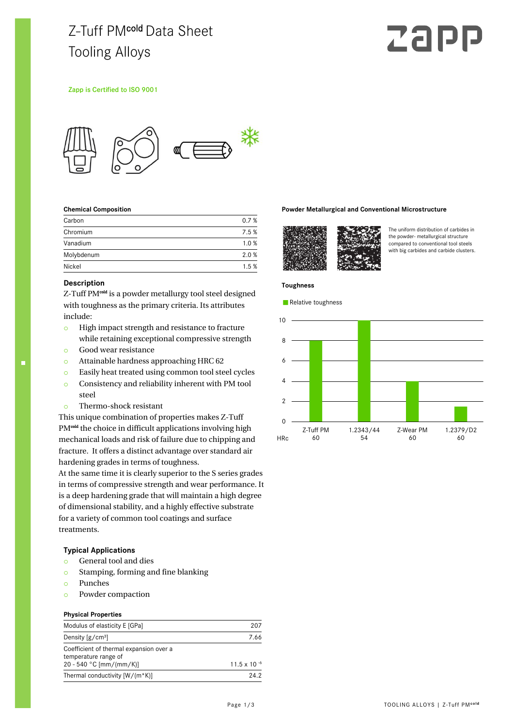# Z-Tuff PMcold Data Sheet Tooling Alloys

# Zap

#### Zapp is Certified to ISO 9001



#### **Chemical Composition**

| Carbon     | 0.7% |
|------------|------|
| Chromium   | 7.5% |
| Vanadium   | 1.0% |
| Molybdenum | 2.0% |
| Nickel     | 1.5% |

#### **Description**

Z-Tuff PM<sup>cold</sup> is a powder metallurgy tool steel designed with toughness as the primary criteria. Its attributes include:

- o High impact strength and resistance to fracture while retaining exceptional compressive strength
- o Good wear resistance
- o Attainable hardness approaching HRC 62
- o Easily heat treated using common tool steel cycles o Consistency and reliability inherent with PM tool
- steel
- o Thermo-shock resistant

This unique combination of properties makes Z-Tuff PM<sup>cold</sup> the choice in difficult applications involving high mechanical loads and risk of failure due to chipping and fracture. It offers a distinct advantage over standard air hardening grades in terms of toughness.

At the same time it is clearly superior to the S series grades in terms of compressive strength and wear performance. It is a deep hardening grade that will maintain a high degree of dimensional stability, and a highly effective substrate for a variety of common tool coatings and surface treatments.

#### **Typical Applications**

- o General tool and dies
- o Stamping, forming and fine blanking
- o Punches
- o Powder compaction

#### **Physical Properties**

| Modulus of elasticity E [GPa]                                                              | 207            |
|--------------------------------------------------------------------------------------------|----------------|
| Density $[g/cm^3]$                                                                         | 7.66           |
| Coefficient of thermal expansion over a<br>temperature range of<br>20 - 540 °C [mm/(mm/K)] | 11.5 x 10 $-6$ |
| Thermal conductivity [W/(m*K)]                                                             | 24.2           |

#### **Powder Metallurgical and Conventional Microstructure**



The uniform distribution of carbides in the powder- metallurgical structure compared to conventional tool steels with big carbides and carbide clusters.

#### **Toughness**

Relative toughness

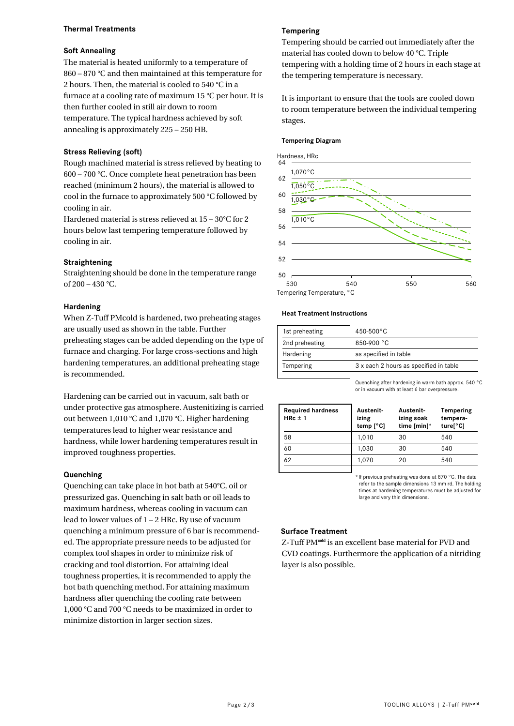# **Thermal Treatments**

# **Soft Annealing**

The material is heated uniformly to a temperature of 860 – 870 °C and then maintained at this temperature for 2 hours. Then, the material is cooled to 540 °C in a furnace at a cooling rate of maximum 15 °C per hour. It is then further cooled in still air down to room temperature. The typical hardness achieved by soft annealing is approximately 225 – 250 HB.

# **Stress Relieving (soft)**

Rough machined material is stress relieved by heating to 600 – 700 °C. Once complete heat penetration has been reached (minimum 2 hours), the material is allowed to cool in the furnace to approximately 500 °C followed by cooling in air.

Hardened material is stress relieved at 15 – 30°C for 2 hours below last tempering temperature followed by cooling in air.

# **Straightening**

Straightening should be done in the temperature range of 200 – 430 °C.

### **Hardening**

When Z-Tuff PMcold is hardened, two preheating stages are usually used as shown in the table. Further preheating stages can be added depending on the type of furnace and charging. For large cross-sections and high hardening temperatures, an additional preheating stage is recommended.

Hardening can be carried out in vacuum, salt bath or under protective gas atmosphere. Austenitizing is carried out between 1,010 °C and 1,070 °C. Higher hardening temperatures lead to higher wear resistance and hardness, while lower hardening temperatures result in improved toughness properties.

#### **Quenching**

Quenching can take place in hot bath at 540°C, oil or pressurized gas. Quenching in salt bath or oil leads to maximum hardness, whereas cooling in vacuum can lead to lower values of 1 – 2 HRc. By use of vacuum quenching a minimum pressure of 6 bar is recommended. The appropriate pressure needs to be adjusted for complex tool shapes in order to minimize risk of cracking and tool distortion. For attaining ideal toughness properties, it is recommended to apply the hot bath quenching method. For attaining maximum hardness after quenching the cooling rate between 1,000 °C and 700 °C needs to be maximized in order to minimize distortion in larger section sizes.

# **Tempering**

Tempering should be carried out immediately after the material has cooled down to below 40 °C. Triple tempering with a holding time of 2 hours in each stage at the tempering temperature is necessary.

It is important to ensure that the tools are cooled down to room temperature between the individual tempering stages.

#### **Tempering Diagram**



Tempering Temperature, °C

#### **Heat Treatment Instructions**

| 1st preheating | $450 - 500^{\circ}$ C                  |  |
|----------------|----------------------------------------|--|
| 2nd preheating | 850-900 °C                             |  |
| Hardening      | as specified in table                  |  |
| Tempering      | 3 x each 2 hours as specified in table |  |
|                |                                        |  |

Quenching after hardening in warm bath approx. 540 °C or in vacuum with at least 6 bar overpressure.

| <b>Required hardness</b><br>$HRC \pm 1$ | Austenit-<br>izing<br>temp $[^{\circ}C]$ | <b>Austenit</b><br>izing soak<br>time [min]* | Tempering<br>tempera-<br>ture[°C] |
|-----------------------------------------|------------------------------------------|----------------------------------------------|-----------------------------------|
| 58                                      | 1.010                                    | 30                                           | 540                               |
| 60                                      | 1.030                                    | 30                                           | 540                               |
| 62                                      | 1.070                                    | 20                                           | 540                               |
|                                         |                                          |                                              |                                   |

\* If previous preheating was done at 870 °C. The data refer to the sample dimensions 13 mm rd. The holding times at hardening temperatures must be adjusted for large and very thin dimensions.

#### **Surface Treatment**

Z-Tuff PM<sup>cold</sup> is an excellent base material for PVD and CVD coatings. Furthermore the application of a nitriding layer is also possible.